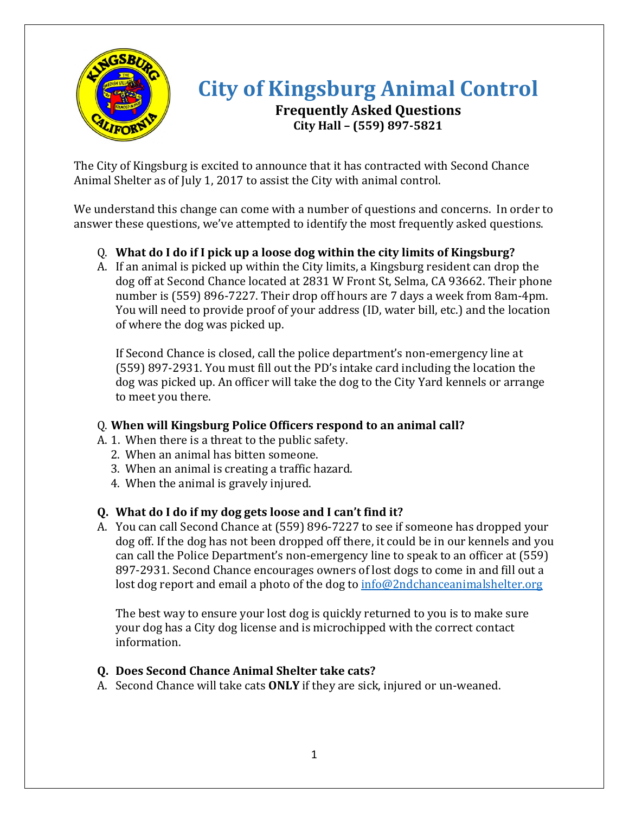

# **City of Kingsburg Animal Control Frequently Asked Questions City Hall – (559) 897-5821**

The City of Kingsburg is excited to announce that it has contracted with Second Chance Animal Shelter as of July 1, 2017 to assist the City with animal control.

We understand this change can come with a number of questions and concerns. In order to answer these questions, we've attempted to identify the most frequently asked questions.

## Q. **What do I do if I pick up a loose dog within the city limits of Kingsburg?**

A. If an animal is picked up within the City limits, a Kingsburg resident can drop the dog off at Second Chance located at 2831 W Front St, Selma, CA 93662. Their phone number is (559) 896-7227. Their drop off hours are 7 days a week from 8am-4pm. You will need to provide proof of your address (ID, water bill, etc.) and the location of where the dog was picked up.

If Second Chance is closed, call the police department's non-emergency line at (559) 897-2931. You must fill out the PD's intake card including the location the dog was picked up. An officer will take the dog to the City Yard kennels or arrange to meet you there.

## Q. **When will Kingsburg Police Officers respond to an animal call?**

- A. 1. When there is a threat to the public safety.
	- 2. When an animal has bitten someone.
	- 3. When an animal is creating a traffic hazard.
	- 4. When the animal is gravely injured.

# **Q. What do I do if my dog gets loose and I can't find it?**

A. You can call Second Chance at (559) 896-7227 to see if someone has dropped your dog off. If the dog has not been dropped off there, it could be in our kennels and you can call the Police Department's non-emergency line to speak to an officer at (559) 897-2931. Second Chance encourages owners of lost dogs to come in and fill out a lost dog report and email a photo of the dog to [info@2ndchanceanimalshelter.org](mailto:info@2ndchanceanimalshelter.org)

The best way to ensure your lost dog is quickly returned to you is to make sure your dog has a City dog license and is microchipped with the correct contact information.

# **Q. Does Second Chance Animal Shelter take cats?**

A. Second Chance will take cats **ONLY** if they are sick, injured or un-weaned.